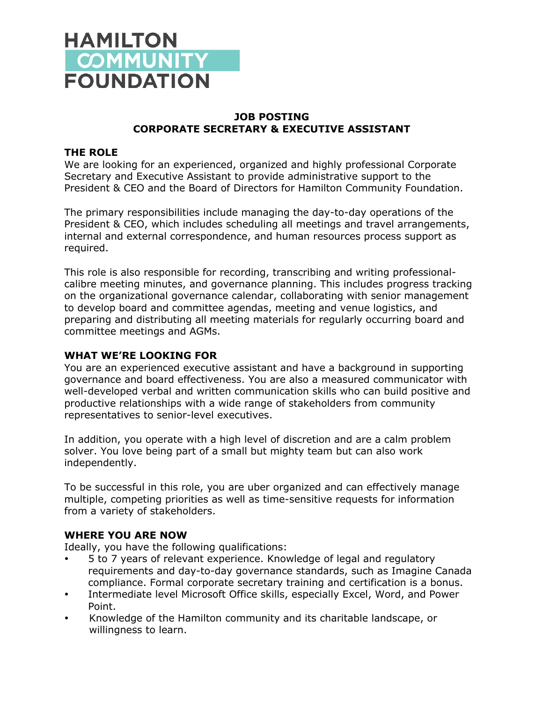

## **JOB POSTING CORPORATE SECRETARY & EXECUTIVE ASSISTANT**

#### **THE ROLE**

We are looking for an experienced, organized and highly professional Corporate Secretary and Executive Assistant to provide administrative support to the President & CEO and the Board of Directors for Hamilton Community Foundation.

The primary responsibilities include managing the day-to-day operations of the President & CEO, which includes scheduling all meetings and travel arrangements, internal and external correspondence, and human resources process support as required.

This role is also responsible for recording, transcribing and writing professionalcalibre meeting minutes, and governance planning. This includes progress tracking on the organizational governance calendar, collaborating with senior management to develop board and committee agendas, meeting and venue logistics, and preparing and distributing all meeting materials for regularly occurring board and committee meetings and AGMs.

### **WHAT WE'RE LOOKING FOR**

You are an experienced executive assistant and have a background in supporting governance and board effectiveness. You are also a measured communicator with well-developed verbal and written communication skills who can build positive and productive relationships with a wide range of stakeholders from community representatives to senior-level executives.

In addition, you operate with a high level of discretion and are a calm problem solver. You love being part of a small but mighty team but can also work independently.

To be successful in this role, you are uber organized and can effectively manage multiple, competing priorities as well as time-sensitive requests for information from a variety of stakeholders.

#### **WHERE YOU ARE NOW**

Ideally, you have the following qualifications:

- 5 to 7 years of relevant experience. Knowledge of legal and regulatory requirements and day-to-day governance standards, such as Imagine Canada compliance. Formal corporate secretary training and certification is a bonus.
- Intermediate level Microsoft Office skills, especially Excel, Word, and Power Point.
- Knowledge of the Hamilton community and its charitable landscape, or willingness to learn.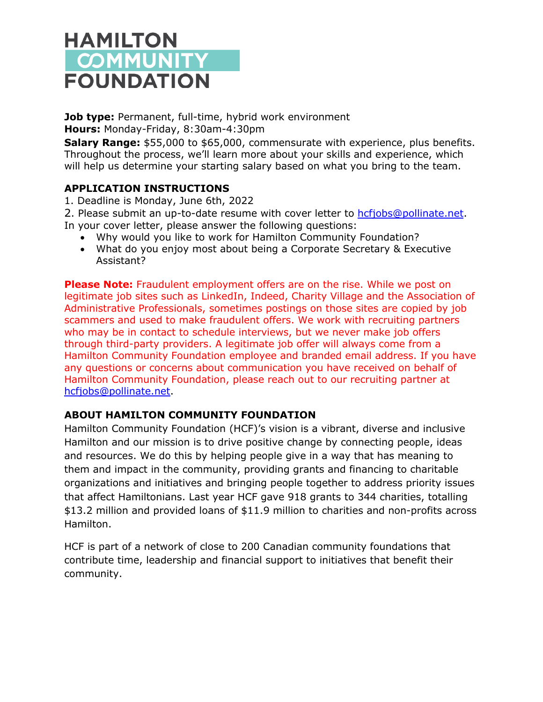# **HAMILTON COMMUNITY FOUNDATION**

**Job type:** Permanent, full-time, hybrid work environment **Hours:** Monday-Friday, 8:30am-4:30pm

**Salary Range:** \$55,000 to \$65,000, commensurate with experience, plus benefits. Throughout the process, we'll learn more about your skills and experience, which will help us determine your starting salary based on what you bring to the team.

# **APPLICATION INSTRUCTIONS**

1. Deadline is Monday, June 6th, 2022

2. Please submit an up-to-date resume with cover letter to hcfjobs@pollinate.net. In your cover letter, please answer the following questions:

- Why would you like to work for Hamilton Community Foundation?
- What do you enjoy most about being a Corporate Secretary & Executive Assistant?

**Please Note:** Fraudulent employment offers are on the rise. While we post on legitimate job sites such as LinkedIn, Indeed, Charity Village and the Association of Administrative Professionals, sometimes postings on those sites are copied by job scammers and used to make fraudulent offers. We work with recruiting partners who may be in contact to schedule interviews, but we never make job offers through third-party providers. A legitimate job offer will always come from a Hamilton Community Foundation employee and branded email address. If you have any questions or concerns about communication you have received on behalf of Hamilton Community Foundation, please reach out to our recruiting partner at hcfjobs@pollinate.net.

## **ABOUT HAMILTON COMMUNITY FOUNDATION**

Hamilton Community Foundation (HCF)'s vision is a vibrant, diverse and inclusive Hamilton and our mission is to drive positive change by connecting people, ideas and resources. We do this by helping people give in a way that has meaning to them and impact in the community, providing grants and financing to charitable organizations and initiatives and bringing people together to address priority issues that affect Hamiltonians. Last year HCF gave 918 grants to 344 charities, totalling \$13.2 million and provided loans of \$11.9 million to charities and non-profits across Hamilton.

HCF is part of a network of close to 200 Canadian community foundations that contribute time, leadership and financial support to initiatives that benefit their community.